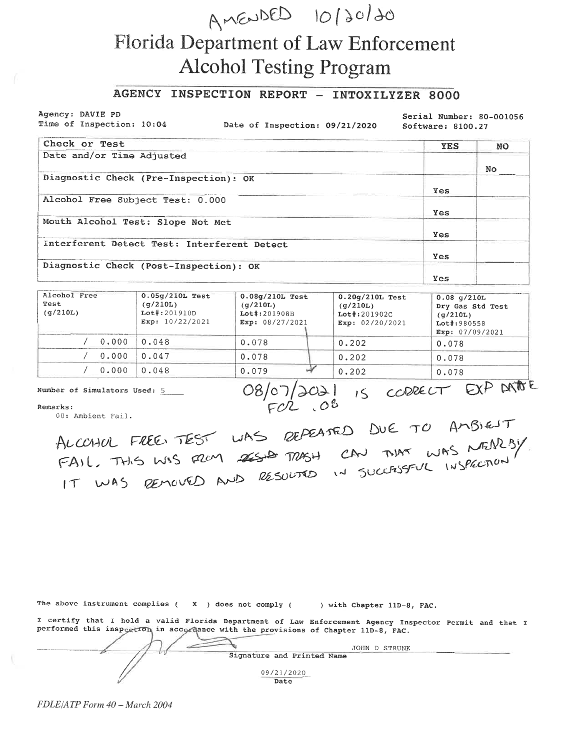## AMENDED 10/20/20 **Florida Department of Law Enforcement Alcohol Testing Program**

## AGENCY INSPECTION REPORT - INTOXILYZER 8000

Agency: DAVIE PD Time of Inspection: 10:04

Date of Inspection: 09/21/2020

Serial Number: 80-001056 Software: 8100.27

| Check or Test                               | <b>YES</b> | <b>NO</b> |
|---------------------------------------------|------------|-----------|
| Date and/or Time Adjusted                   |            |           |
|                                             |            | No.       |
| Diagnostic Check (Pre-Inspection): OK       |            |           |
|                                             | <b>Yes</b> |           |
| Alcohol Free Subject Test: 0.000            |            |           |
|                                             | Yes        |           |
| Mouth Alcohol Test: Slope Not Met           |            |           |
|                                             | Yes        |           |
| Interferent Detect Test: Interferent Detect |            |           |
|                                             | Yes        |           |
| Diagnostic Check (Post-Inspection): OK      |            |           |
|                                             | Yes        |           |

| Alcohol Free<br>Test<br>(q/210L) | $0.05q/210L$ Test<br>(q/210L)<br>$Lot$ : 201910D<br>Exp: $10/22/2021$ | $0.08q/210L$ Test<br>(q/210L)<br>$Lot$ #:201908B<br>Exp: $08/27/2021$ | $0.20q/210L$ Test<br>(q/210L)<br>$Lot$ #:201902C<br>Exp: $02/20/2021$ | $0.08$ q/210L<br>Dry Gas Std Test<br>(q/210L)<br>$Lot$ : 980558<br>Exp: $07/09/2021$ |
|----------------------------------|-----------------------------------------------------------------------|-----------------------------------------------------------------------|-----------------------------------------------------------------------|--------------------------------------------------------------------------------------|
| 0.000                            | 0.048                                                                 | 0.078                                                                 | 0.202                                                                 | 0.078                                                                                |
| 0.000                            | 0.047                                                                 | 0.078                                                                 | 0.202                                                                 | 0.078                                                                                |
| 0.000                            | 0.048                                                                 | 0.079                                                                 | 0.202                                                                 | 0.078                                                                                |

Number of Simulators Used: 5

08/07/2021 IS CORECT EXP DATE

Remarks:

ALCOHOL FREE TEST WAS REPEATED DUE TO AMBIENT

The above instrument complies  $($   $x$   $)$  does not comply  $($   $)$  with Chapter 11D-8, FAC.

I certify that I hold a valid Florida Department of Law Enforcement Agency Inspector Permit and that I performed this inspection in accordance with the provisions of Chapter 11D-8, FAC.

|                                                      | JOHN D STRUNK                                                                                                       |
|------------------------------------------------------|---------------------------------------------------------------------------------------------------------------------|
| Signature and Printed Name                           | <b>Service Construction of the property construction of the Construction Construction Construction Construction</b> |
| 09/21/2020<br>According to the United States<br>Date |                                                                                                                     |